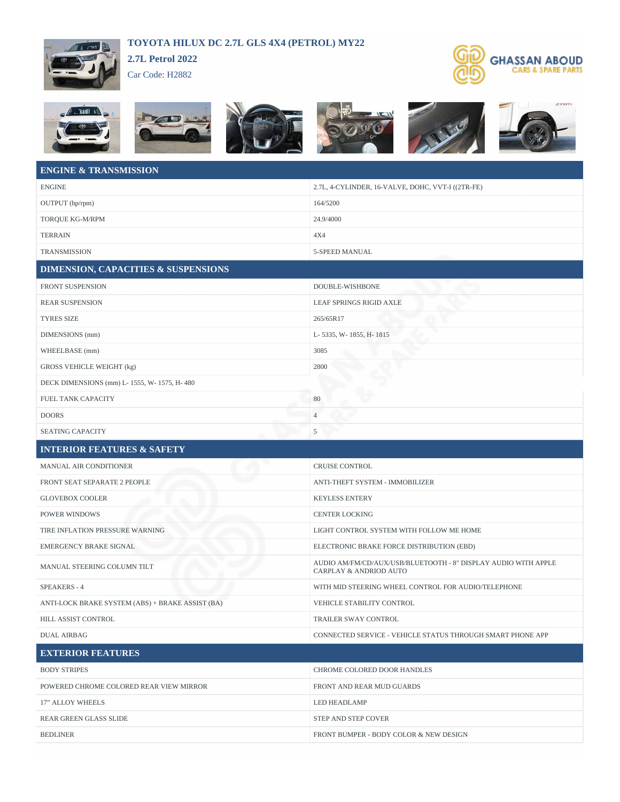## **TOYOTA HILUX DC 2.7L GLS 4X4 (PETROL) MY22**



Car Code: H2882





## **ENGINE & TRANSMISSION**

| <b>ENGINE</b>                                    | 2.7L, 4-CYLINDER, 16-VALVE, DOHC, VVT-I ((2TR-FE)                                        |
|--------------------------------------------------|------------------------------------------------------------------------------------------|
| OUTPUT (hp/rpm)                                  | 164/5200                                                                                 |
| TORQUE KG-M/RPM                                  | 24.9/4000                                                                                |
| TERRAIN                                          | 4X4                                                                                      |
| <b>TRANSMISSION</b>                              | 5-SPEED MANUAL                                                                           |
| <b>DIMENSION, CAPACITIES &amp; SUSPENSIONS</b>   |                                                                                          |
| FRONT SUSPENSION                                 | DOUBLE-WISHBONE                                                                          |
| <b>REAR SUSPENSION</b>                           | LEAF SPRINGS RIGID AXLE                                                                  |
| <b>TYRES SIZE</b>                                | 265/65R17                                                                                |
| DIMENSIONS (mm)                                  | L- 5335, W- 1855, H- 1815                                                                |
| WHEELBASE (mm)                                   | 3085                                                                                     |
| <b>GROSS VEHICLE WEIGHT (kg)</b>                 | 2800                                                                                     |
| DECK DIMENSIONS (mm) L- 1555, W- 1575, H- 480    |                                                                                          |
| FUEL TANK CAPACITY                               | 80                                                                                       |
| <b>DOORS</b>                                     | $\overline{4}$                                                                           |
| <b>SEATING CAPACITY</b>                          | 5                                                                                        |
| <b>INTERIOR FEATURES &amp; SAFETY</b>            |                                                                                          |
|                                                  |                                                                                          |
| MANUAL AIR CONDITIONER                           | <b>CRUISE CONTROL</b>                                                                    |
| FRONT SEAT SEPARATE 2 PEOPLE                     | ANTI-THEFT SYSTEM - IMMOBILIZER                                                          |
| <b>GLOVEBOX COOLER</b>                           | <b>KEYLESS ENTERY</b>                                                                    |
| POWER WINDOWS                                    | <b>CENTER LOCKING</b>                                                                    |
| TIRE INFLATION PRESSURE WARNING                  | LIGHT CONTROL SYSTEM WITH FOLLOW ME HOME                                                 |
| EMERGENCY BRAKE SIGNAL                           | ELECTRONIC BRAKE FORCE DISTRIBUTION (EBD)                                                |
| MANUAL STEERING COLUMN TILT                      | AUDIO AM/FM/CD/AUX/USB/BLUETOOTH - 8" DISPLAY AUDIO WITH APPLE<br>CARPLAY & ANDRIOD AUTO |
| <b>SPEAKERS - 4</b>                              | WITH MID STEERING WHEEL CONTROL FOR AUDIO/TELEPHONE                                      |
| ANTI-LOCK BRAKE SYSTEM (ABS) + BRAKE ASSIST (BA) | VEHICLE STABILITY CONTROL                                                                |
| HILL ASSIST CONTROL                              | TRAILER SWAY CONTROL                                                                     |
| <b>DUAL AIRBAG</b>                               | CONNECTED SERVICE - VEHICLE STATUS THROUGH SMART PHONE APP                               |
| <b>EXTERIOR FEATURES</b>                         |                                                                                          |
| <b>BODY STRIPES</b>                              | CHROME COLORED DOOR HANDLES                                                              |
| POWERED CHROME COLORED REAR VIEW MIRROR          | FRONT AND REAR MUD GUARDS                                                                |
| 17" ALLOY WHEELS                                 | LED HEADLAMP                                                                             |
| REAR GREEN GLASS SLIDE                           | STEP AND STEP COVER                                                                      |